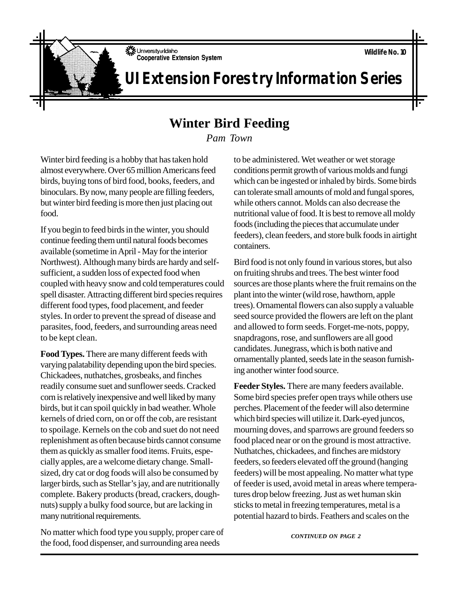**Wildlife No. 10**

University of Idaho **Cooperative Extension System** 

**UI Extension Forestry Information Series**

## **Winter Bird Feeding**

*Pam Town*

Winter bird feeding is a hobby that has taken hold almost everywhere. Over 65 million Americans feed birds, buying tons of bird food, books, feeders, and binoculars. By now, many people are filling feeders, but winter bird feeding is more then just placing out food.

If you begin to feed birds in the winter, you should continue feeding them until natural foods becomes available (sometime in April - May for the interior Northwest). Although many birds are hardy and selfsufficient, a sudden loss of expected food when coupled with heavy snow and cold temperatures could spell disaster. Attracting different bird species requires different food types, food placement, and feeder styles. In order to prevent the spread of disease and parasites, food, feeders, and surrounding areas need to be kept clean.

**Food Types.** There are many different feeds with varying palatability depending upon the bird species. Chickadees, nuthatches, grosbeaks, and finches readily consume suet and sunflower seeds. Cracked corn is relatively inexpensive and well liked by many birds, but it can spoil quickly in bad weather. Whole kernels of dried corn, on or off the cob, are resistant to spoilage. Kernels on the cob and suet do not need replenishment as often because birds cannot consume them as quickly as smaller food items. Fruits, especially apples, are a welcome dietary change. Smallsized, dry cat or dog foods will also be consumed by larger birds, such as Stellar's jay, and are nutritionally complete. Bakery products (bread, crackers, doughnuts) supply a bulky food source, but are lacking in many nutritional requirements.

No matter which food type you supply, proper care of the food, food dispenser, and surrounding area needs

to be administered. Wet weather or wet storage conditions permit growth of various molds and fungi which can be ingested or inhaled by birds. Some birds can tolerate small amounts of mold and fungal spores, while others cannot. Molds can also decrease the nutritional value of food. It is best to remove all moldy foods (including the pieces that accumulate under feeders), clean feeders, and store bulk foods in airtight containers.

Bird food is not only found in various stores, but also on fruiting shrubs and trees. The best winter food sources are those plants where the fruit remains on the plant into the winter (wild rose, hawthorn, apple trees). Ornamental flowers can also supply a valuable seed source provided the flowers are left on the plant and allowed to form seeds. Forget-me-nots, poppy, snapdragons, rose, and sunflowers are all good candidates. Junegrass, which is both native and ornamentally planted, seeds late in the season furnishing another winter food source.

**Feeder Styles.** There are many feeders available. Some bird species prefer open trays while others use perches. Placement of the feeder will also determine which bird species will utilize it. Dark-eyed juncos, mourning doves, and sparrows are ground feeders so food placed near or on the ground is most attractive. Nuthatches, chickadees, and finches are midstory feeders, so feeders elevated off the ground (hanging feeders) will be most appealing. No matter what type of feeder is used, avoid metal in areas where temperatures drop below freezing. Just as wet human skin sticks to metal in freezing temperatures, metal is a potential hazard to birds. Feathers and scales on the

*CONTINUED ON PAGE 2*